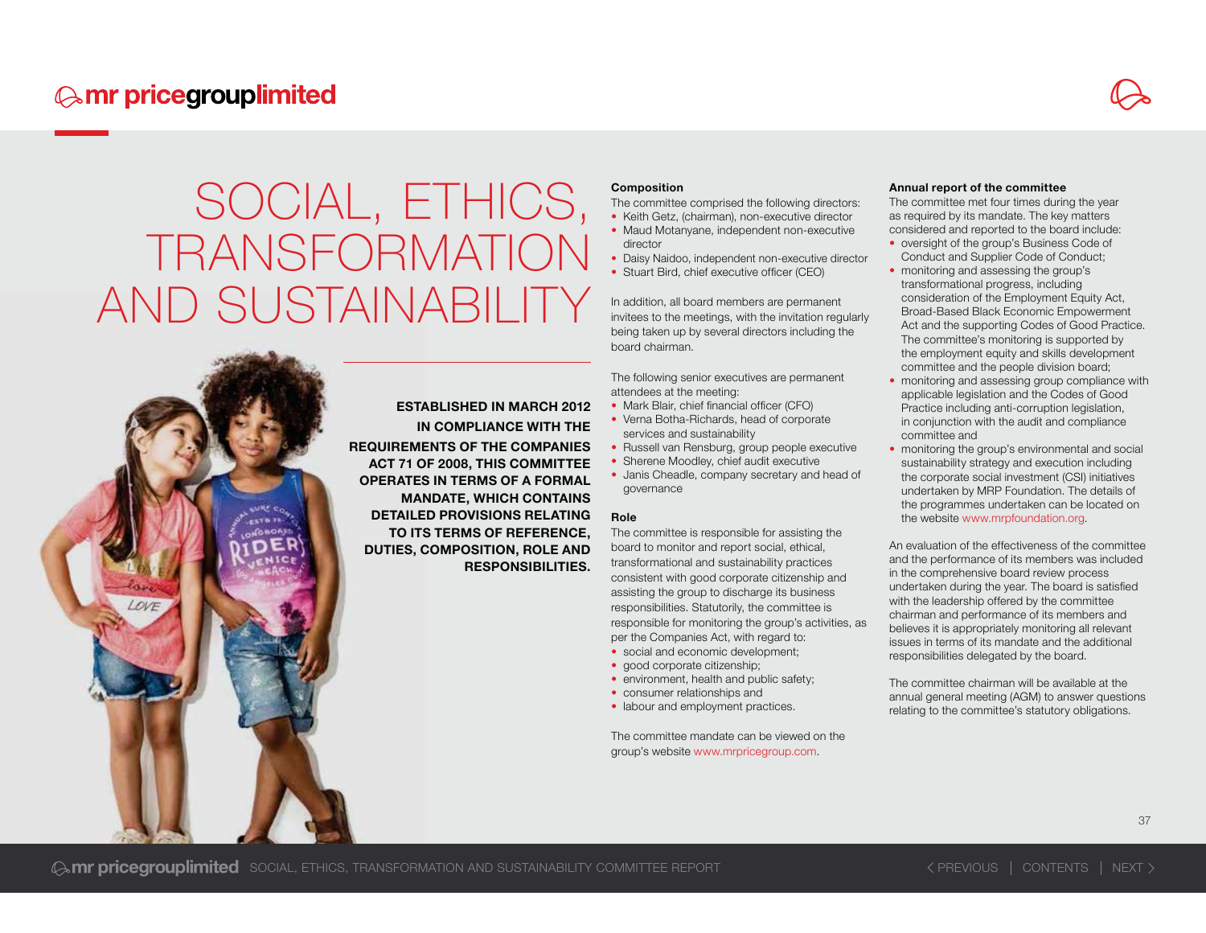ESTABLISHED IN MARCH 2012 IN COMPLIANCE WITH THE REQUIREMENTS OF THE COMPANIES ACT 71 OF 2008, THIS COMMITTEE OPERATES IN TERMS OF A FORMAL MANDATE, WHICH CONTAINS DETAILED PROVISIONS RELATING TO ITS TERMS OF REFERENCE, DUTIES, COMPOSITION, ROLE AND RESPONSIBILITIES.

#### Composition

The committee comprised the following directors:

- Keith Getz, (chairman), non-executive director • Maud Motanyane, independent non-executive director
- Daisy Naidoo, independent non-executive director
- Stuart Bird, chief executive officer (CEO)

In addition, all board members are permanent invitees to the meetings, with the invitation regularly being taken up by several directors including the board chairman.

The following senior executives are permanent attendees at the meeting:

- Mark Blair, chief financial officer (CFO)
- Verna Botha-Richards, head of corporate services and sustainability
- Russell van Rensburg, group people executive
- Sherene Moodley, chief audit executive
- Janis Cheadle, company secretary and head of governance

#### Role

The committee is responsible for assisting the board to monitor and report social, ethical, transformational and sustainability practices consistent with good corporate citizenship and assisting the group to discharge its business responsibilities. Statutorily, the committee is responsible for monitoring the group's activities, as per the Companies Act, with regard to:

- social and economic development;
- good corporate citizenship:
- environment, health and public safety;
- consumer relationships and
- labour and employment practices.

The committee mandate can be viewed on the group's website www.mrpricegroup.com.

#### Annual report of the committee

The committee met four times during the year as required by its mandate. The key matters considered and reported to the board include:

- oversight of the group's Business Code of Conduct and Supplier Code of Conduct;
- monitoring and assessing the group's transformational progress, including consideration of the Employment Equity Act, Broad-Based Black Economic Empowerment Act and the supporting Codes of Good Practice. The committee's monitoring is supported by the employment equity and skills development committee and the people division board;
- monitoring and assessing group compliance with applicable legislation and the Codes of Good Practice including anti-corruption legislation, in conjunction with the audit and compliance committee and
- monitoring the group's environmental and social sustainability strategy and execution including the corporate social investment (CSI) initiatives undertaken by MRP Foundation. The details of the programmes undertaken can be located on the website www.mrpfoundation.org.

An evaluation of the effectiveness of the committee and the performance of its members was included in the comprehensive board review process undertaken during the year. The board is satisfied with the leadership offered by the committee chairman and performance of its members and believes it is appropriately monitoring all relevant issues in terms of its mandate and the additional responsibilities delegated by the board.

The committee chairman will be available at the annual general meeting (AGM) to answer questions relating to the committee's statutory obligations.

**Somr pricegrouplimited** Social, ETHICS, TRANSFORMATION AND SUSTAINABILITY COMMITTEE REPORT **PREVIOUS CONTENTS NEXT**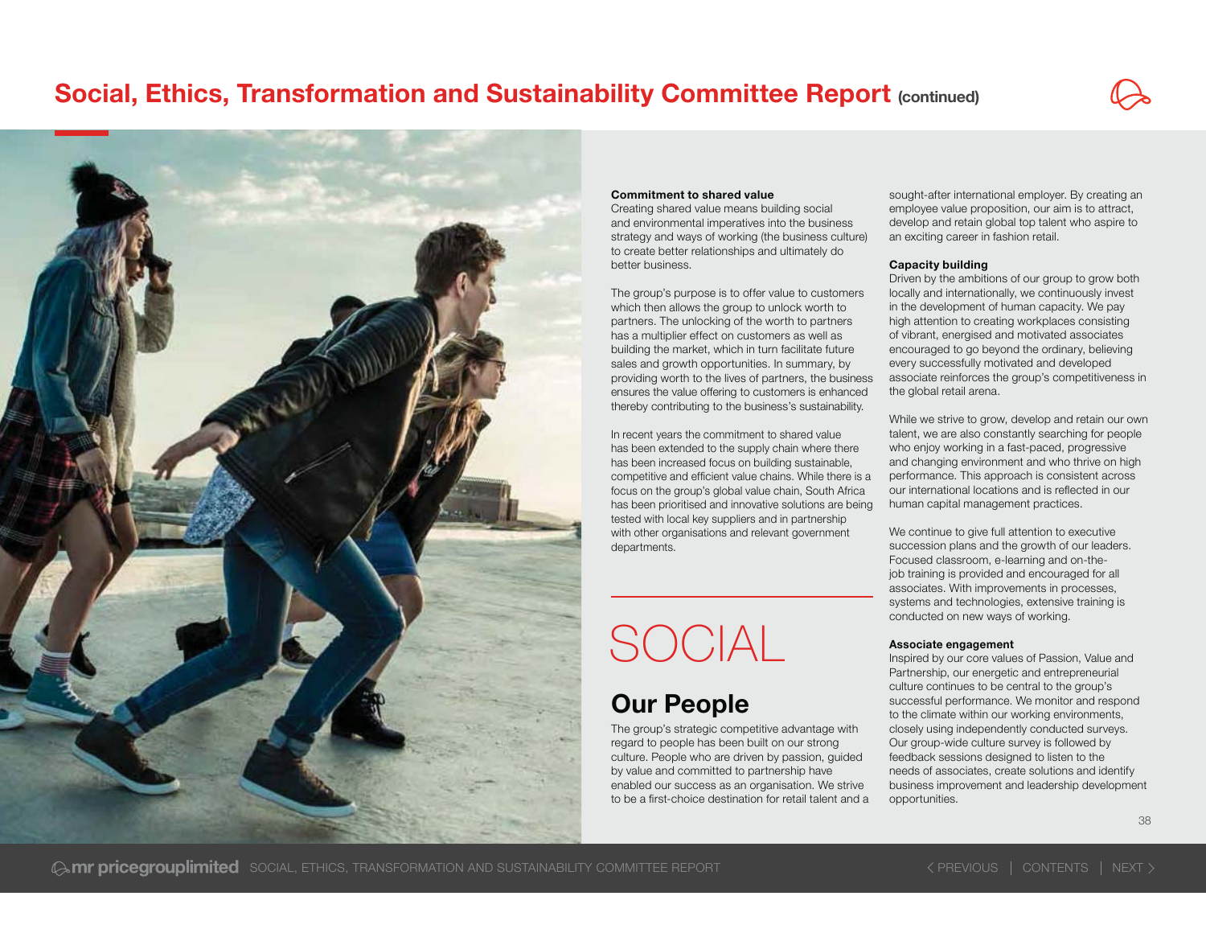

#### Commitment to shared value

Creating shared value means building social and environmental imperatives into the business strategy and ways of working (the business culture) to create better relationships and ultimately do better business.

The group's purpose is to offer value to customers which then allows the group to unlock worth to partners. The unlocking of the worth to partners has a multiplier effect on customers as well as building the market, which in turn facilitate future sales and growth opportunities. In summary, by providing worth to the lives of partners, the business ensures the value offering to customers is enhanced thereby contributing to the business's sustainability.

In recent years the commitment to shared value has been extended to the supply chain where there has been increased focus on building sustainable, competitive and efficient value chains. While there is a focus on the group's global value chain. South Africa has been prioritised and innovative solutions are being tested with local key suppliers and in partnership with other organisations and relevant government departments.

# SOCIAL

## Our People

The group's strategic competitive advantage with regard to people has been built on our strong culture. People who are driven by passion, guided by value and committed to partnership have enabled our success as an organisation. We strive to be a first-choice destination for retail talent and a sought-after international employer. By creating an employee value proposition, our aim is to attract, develop and retain global top talent who aspire to an exciting career in fashion retail.

#### Capacity building

Driven by the ambitions of our group to grow both locally and internationally, we continuously invest in the development of human capacity. We pay high attention to creating workplaces consisting of vibrant, energised and motivated associates encouraged to go beyond the ordinary, believing every successfully motivated and developed associate reinforces the group's competitiveness in the global retail arena.

While we strive to grow, develop and retain our own talent, we are also constantly searching for people who enjoy working in a fast-paced, progressive and changing environment and who thrive on high performance. This approach is consistent across our international locations and is reflected in our human capital management practices.

We continue to give full attention to executive succession plans and the growth of our leaders. Focused classroom, e-learning and on-thejob training is provided and encouraged for all associates. With improvements in processes, systems and technologies, extensive training is conducted on new ways of working.

#### Associate engagement

Inspired by our core values of Passion, Value and Partnership, our energetic and entrepreneurial culture continues to be central to the group's successful performance. We monitor and respond to the climate within our working environments, closely using independently conducted surveys. Our group-wide culture survey is followed by feedback sessions designed to listen to the needs of associates, create solutions and identify business improvement and leadership development opportunities.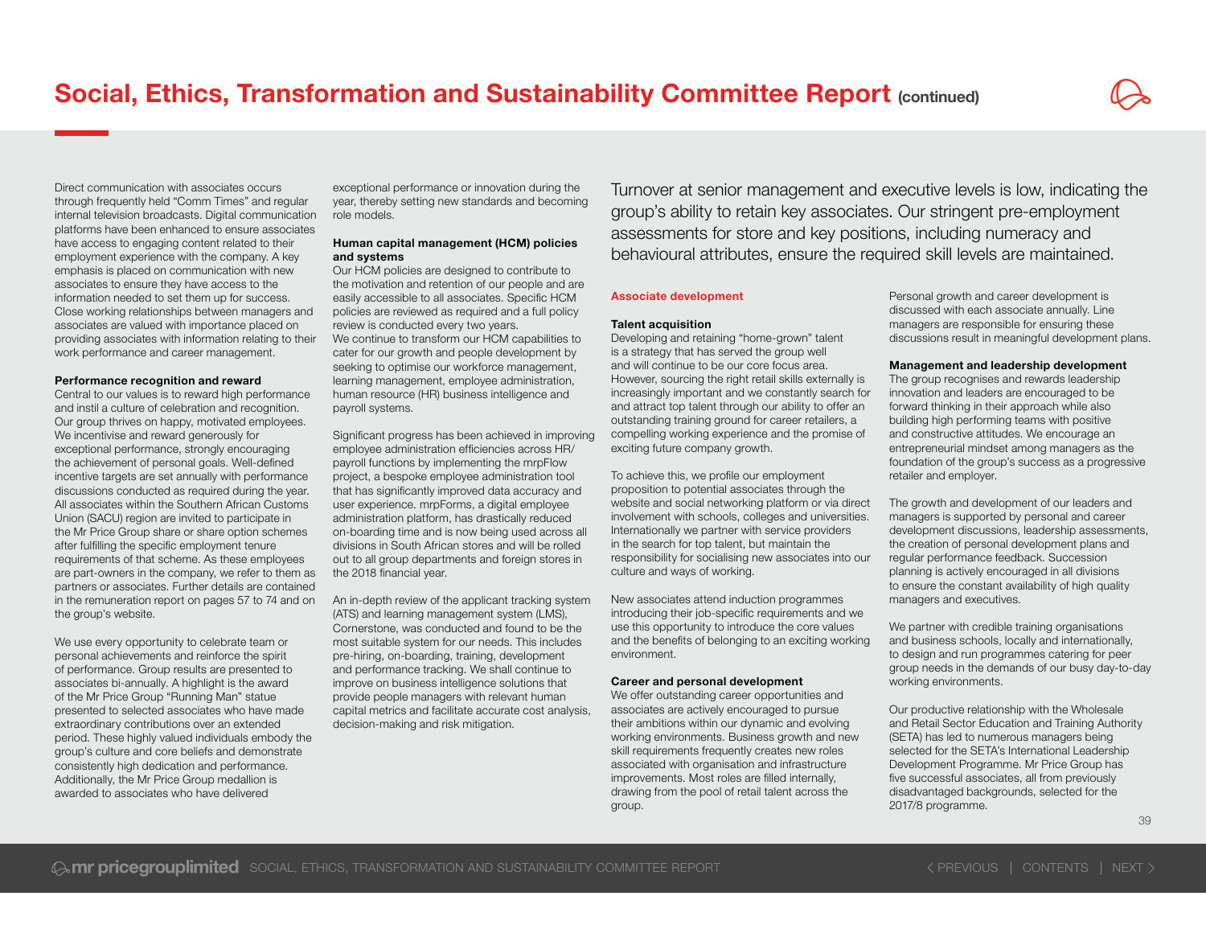Direct communication with associates occurs through frequently held "Comm Times" and regular internal television broadcasts. Digital communication platforms have been enhanced to ensure associates have access to engaging content related to their employment experience with the company. A key emphasis is placed on communication with new associates to ensure they have access to the information needed to set them up for success. Close working relationships between managers and associates are valued with importance placed on providing associates with information relating to their work performance and career management.

#### Performance recognition and reward

Central to our values is to reward high performance and instil a culture of celebration and recognition. Our group thrives on happy, motivated employees. We incentivise and reward generously for exceptional performance, strongly encouraging the achievement of personal goals. Well-defined incentive targets are set annually with performance discussions conducted as required during the year. All associates within the Southern African Customs Union (SACU) region are invited to participate in the Mr Price Group share or share option schemes after fulfilling the specific employment tenure requirements of that scheme. As these employees are part-owners in the company, we refer to them as partners or associates. Further details are contained in the remuneration report on pages 57 to 74 and on the group's website.

We use every opportunity to celebrate team or personal achievements and reinforce the spirit of performance. Group results are presented to associates bi-annually. A highlight is the award of the Mr Price Group "Running Man" statue presented to selected associates who have made extraordinary contributions over an extended period. These highly valued individuals embody the group's culture and core beliefs and demonstrate consistently high dedication and performance. Additionally, the Mr Price Group medallion is awarded to associates who have delivered

exceptional performance or innovation during the year, thereby setting new standards and becoming role models.

#### Human capital management (HCM) policies and systems

Our HCM policies are designed to contribute to the motivation and retention of our people and are easily accessible to all associates. Specific HCM policies are reviewed as required and a full policy review is conducted every two years. We continue to transform our HCM capabilities to cater for our growth and people development by seeking to optimise our workforce management, learning management, employee administration, human resource (HR) business intelligence and payroll systems.

Significant progress has been achieved in improving employee administration efficiencies across HR/ payroll functions by implementing the mrpFlow project, a bespoke employee administration tool that has significantly improved data accuracy and user experience. mrpForms, a digital employee administration platform, has drastically reduced on-boarding time and is now being used across all divisions in South African stores and will be rolled out to all group departments and foreign stores in the 2018 financial year.

An in-depth review of the applicant tracking system (ATS) and learning management system (LMS), Cornerstone, was conducted and found to be the most suitable system for our needs. This includes pre-hiring, on-boarding, training, development and performance tracking. We shall continue to improve on business intelligence solutions that provide people managers with relevant human capital metrics and facilitate accurate cost analysis, decision-making and risk mitigation.

Turnover at senior management and executive levels is low, indicating the group's ability to retain key associates. Our stringent pre-employment assessments for store and key positions, including numeracy and behavioural attributes, ensure the required skill levels are maintained.

#### Associate development

#### Talent acquisition

Developing and retaining "home-grown" talent is a strategy that has served the group well and will continue to be our core focus area. However, sourcing the right retail skills externally is increasingly important and we constantly search for and attract top talent through our ability to offer an outstanding training ground for career retailers, a compelling working experience and the promise of exciting future company growth.

To achieve this, we profile our employment proposition to potential associates through the website and social networking platform or via direct involvement with schools, colleges and universities. Internationally we partner with service providers in the search for top talent, but maintain the responsibility for socialising new associates into our culture and ways of working.

New associates attend induction programmes introducing their job-specific requirements and we use this opportunity to introduce the core values and the benefits of belonging to an exciting working environment.

#### Career and personal development

We offer outstanding career opportunities and associates are actively encouraged to pursue their ambitions within our dynamic and evolving working environments. Business growth and new skill requirements frequently creates new roles associated with organisation and infrastructure improvements. Most roles are filled internally, drawing from the pool of retail talent across the group.

Personal growth and career development is discussed with each associate annually. Line managers are responsible for ensuring these discussions result in meaningful development plans.

#### Management and leadership development

The group recognises and rewards leadership innovation and leaders are encouraged to be forward thinking in their approach while also building high performing teams with positive and constructive attitudes. We encourage an entrepreneurial mindset among managers as the foundation of the group's success as a progressive retailer and employer.

The growth and development of our leaders and managers is supported by personal and career development discussions, leadership assessments, the creation of personal development plans and regular performance feedback. Succession planning is actively encouraged in all divisions to ensure the constant availability of high quality managers and executives.

We partner with credible training organisations and business schools, locally and internationally, to design and run programmes catering for peer group needs in the demands of our busy day-to-day working environments.

Our productive relationship with the Wholesale and Retail Sector Education and Training Authority (SETA) has led to numerous managers being selected for the SETA's International Leadership Development Programme. Mr Price Group has five successful associates, all from previously disadvantaged backgrounds, selected for the 2017/8 programme.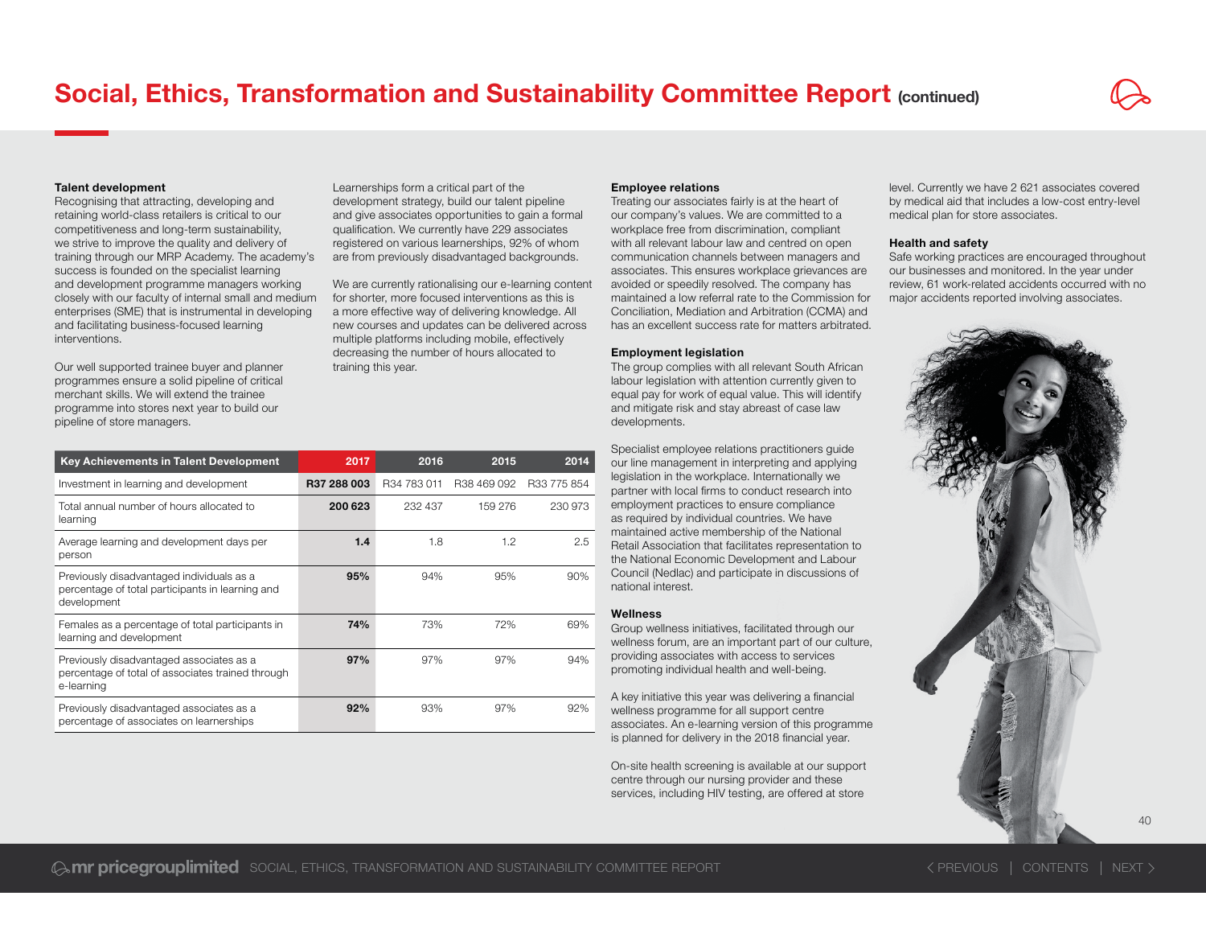#### Talent development

Recognising that attracting, developing and retaining world-class retailers is critical to our competitiveness and long-term sustainability, we strive to improve the quality and delivery of training through our MRP Academy. The academy's success is founded on the specialist learning and development programme managers working closely with our faculty of internal small and medium enterprises (SME) that is instrumental in developing and facilitating business-focused learning interventions.

Our well supported trainee buyer and planner programmes ensure a solid pipeline of critical merchant skills. We will extend the trainee programme into stores next year to build our pipeline of store managers.

Learnerships form a critical part of the development strategy, build our talent pipeline and give associates opportunities to gain a formal qualification. We currently have 229 associates registered on various learnerships, 92% of whom are from previously disadvantaged backgrounds.

We are currently rationalising our e-learning content for shorter, more focused interventions as this is a more effective way of delivering knowledge. All new courses and updates can be delivered across multiple platforms including mobile, effectively decreasing the number of hours allocated to training this year.

| Key Achievements in Talent Development                                                                       | 2017        | 2016        | 2015        | 2014        |
|--------------------------------------------------------------------------------------------------------------|-------------|-------------|-------------|-------------|
| Investment in learning and development                                                                       | R37 288 003 | R34 783 011 | R38 469 092 | R33 775 854 |
| Total annual number of hours allocated to<br>learning                                                        | 200 623     | 232 437     | 159 276     | 230 973     |
| Average learning and development days per<br>person                                                          | 1.4         | 1.8         | 1.2         | 2.5         |
| Previously disadvantaged individuals as a<br>percentage of total participants in learning and<br>development | 95%         | 94%         | 95%         | 90%         |
| Females as a percentage of total participants in<br>learning and development                                 | 74%         | 73%         | 72%         | 69%         |
| Previously disadvantaged associates as a<br>percentage of total of associates trained through<br>e-learning  | 97%         | 97%         | 97%         | 94%         |
| Previously disadvantaged associates as a<br>percentage of associates on learnerships                         | 92%         | 93%         | 97%         | 92%         |

#### Employee relations

Treating our associates fairly is at the heart of our company's values. We are committed to a workplace free from discrimination, compliant with all relevant labour law and centred on open communication channels between managers and associates. This ensures workplace grievances are avoided or speedily resolved. The company has maintained a low referral rate to the Commission for Conciliation, Mediation and Arbitration (CCMA) and has an excellent success rate for matters arbitrated.

#### Employment legislation

The group complies with all relevant South African labour legislation with attention currently given to equal pay for work of equal value. This will identify and mitigate risk and stay abreast of case law developments.

Specialist employee relations practitioners guide our line management in interpreting and applying legislation in the workplace. Internationally we partner with local firms to conduct research into employment practices to ensure compliance as required by individual countries. We have maintained active membership of the National Retail Association that facilitates representation to the National Economic Development and Labour Council (Nedlac) and participate in discussions of national interest.

#### Wellness

Group wellness initiatives, facilitated through our wellness forum, are an important part of our culture, providing associates with access to services promoting individual health and well-being.

A key initiative this year was delivering a financial wellness programme for all support centre associates. An e-learning version of this programme is planned for delivery in the 2018 financial year.

On-site health screening is available at our support centre through our nursing provider and these services, including HIV testing, are offered at store

level. Currently we have 2 621 associates covered by medical aid that includes a low-cost entry-level medical plan for store associates.

#### Health and safety

Safe working practices are encouraged throughout our businesses and monitored. In the year under review, 61 work-related accidents occurred with no major accidents reported involving associates.

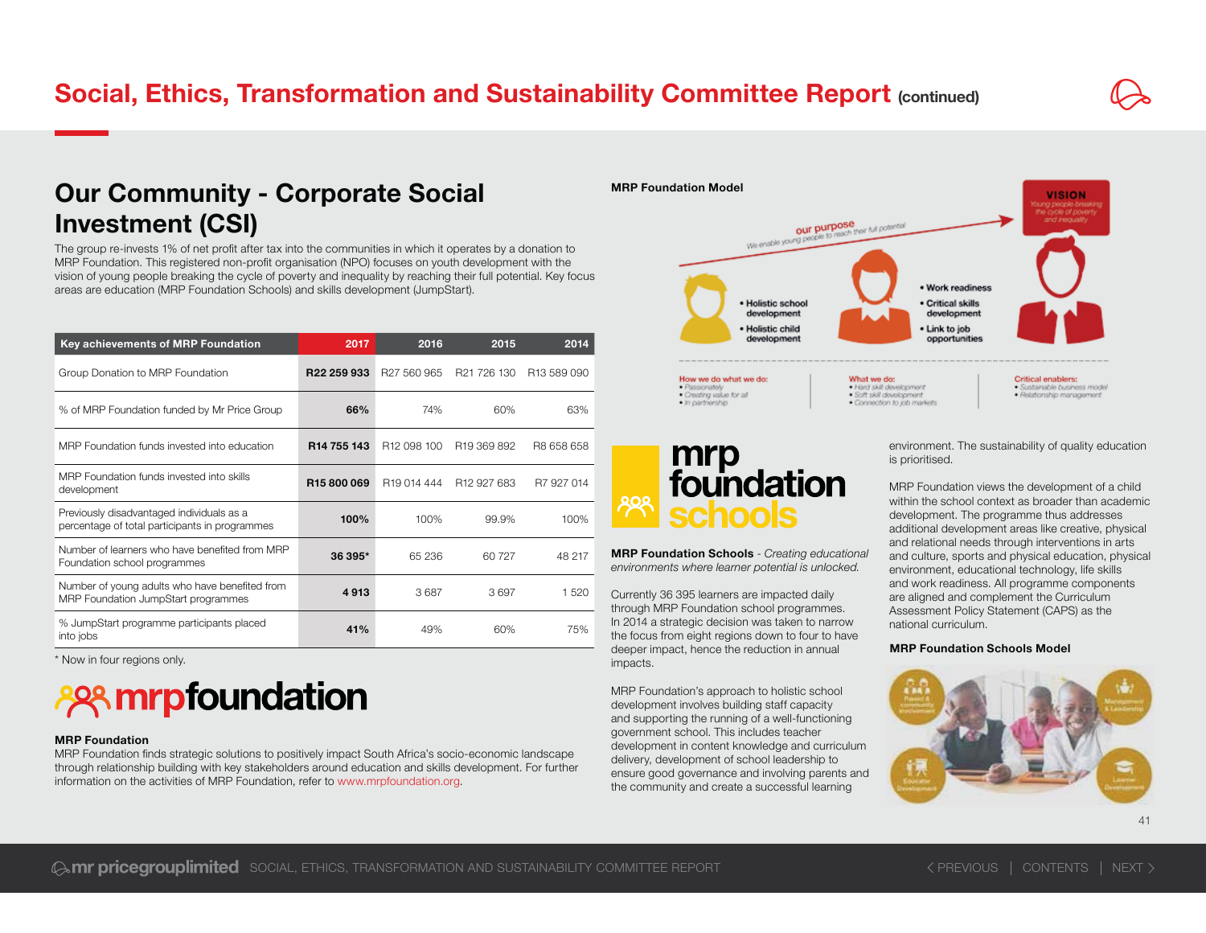### Our Community - Corporate Social Investment (CSI)

The group re-invests 1% of net profit after tax into the communities in which it operates by a donation to MRP Foundation. This registered non-profit organisation (NPO) focuses on youth development with the vision of young people breaking the cycle of poverty and inequality by reaching their full potential. Key focus areas are education (MRP Foundation Schools) and skills development (JumpStart).

| Key achievements of MRP Foundation                                                          | 2017                    | 2016                    | 2015                    | 2014                    |
|---------------------------------------------------------------------------------------------|-------------------------|-------------------------|-------------------------|-------------------------|
| Group Donation to MRP Foundation                                                            | R <sub>22</sub> 259 933 | R <sub>27</sub> 560 965 | R <sub>21</sub> 726 130 | R <sub>13</sub> 589 090 |
| % of MRP Foundation funded by Mr Price Group                                                | 66%                     | 74%                     | 60%                     | 63%                     |
| MRP Foundation funds invested into education                                                | R <sub>14</sub> 755 143 | R <sub>12</sub> 098 100 | R <sub>19</sub> 369 892 | R8 658 658              |
| MRP Foundation funds invested into skills<br>development                                    | R <sub>15</sub> 800069  | R <sub>19</sub> 014 444 | R <sub>12</sub> 927 683 | R7 927 014              |
| Previously disadvantaged individuals as a<br>percentage of total participants in programmes | 100%                    | 100%                    | 99.9%                   | 100%                    |
| Number of learners who have benefited from MRP<br>Foundation school programmes              | 36 395*                 | 65 236                  | 60 727                  | 48 217                  |
| Number of young adults who have benefited from<br>MRP Foundation JumpStart programmes       | 4913                    | 3687                    | 3697                    | 1 520                   |
| % JumpStart programme participants placed<br>into jobs                                      | 41%                     | 49%                     | 60%                     | 75%                     |

\* Now in four regions only.

## **ASSA mrpfoundation**

#### MRP Foundation

MRP Foundation finds strategic solutions to positively impact South Africa's socio-economic landscape through relationship building with key stakeholders around education and skills development. For further information on the activities of MRP Foundation, refer to www.mrpfoundation.org.



## mrp<br>foundation **Territoris**

MRP Foundation Schools - *Creating educational environments where learner potential is unlocked.*

Currently 36 395 learners are impacted daily through MRP Foundation school programmes. In 2014 a strategic decision was taken to narrow the focus from eight regions down to four to have deeper impact, hence the reduction in annual impacts.

MRP Foundation's approach to holistic school development involves building staff capacity and supporting the running of a well-functioning government school. This includes teacher development in content knowledge and curriculum delivery, development of school leadership to ensure good governance and involving parents and the community and create a successful learning

environment. The sustainability of quality education is prioritised.

MRP Foundation views the development of a child within the school context as broader than academic development. The programme thus addresses additional development areas like creative, physical and relational needs through interventions in arts and culture, sports and physical education, physical environment, educational technology, life skills and work readiness. All programme components are aligned and complement the Curriculum Assessment Policy Statement (CAPS) as the national curriculum.

#### MRP Foundation Schools Model

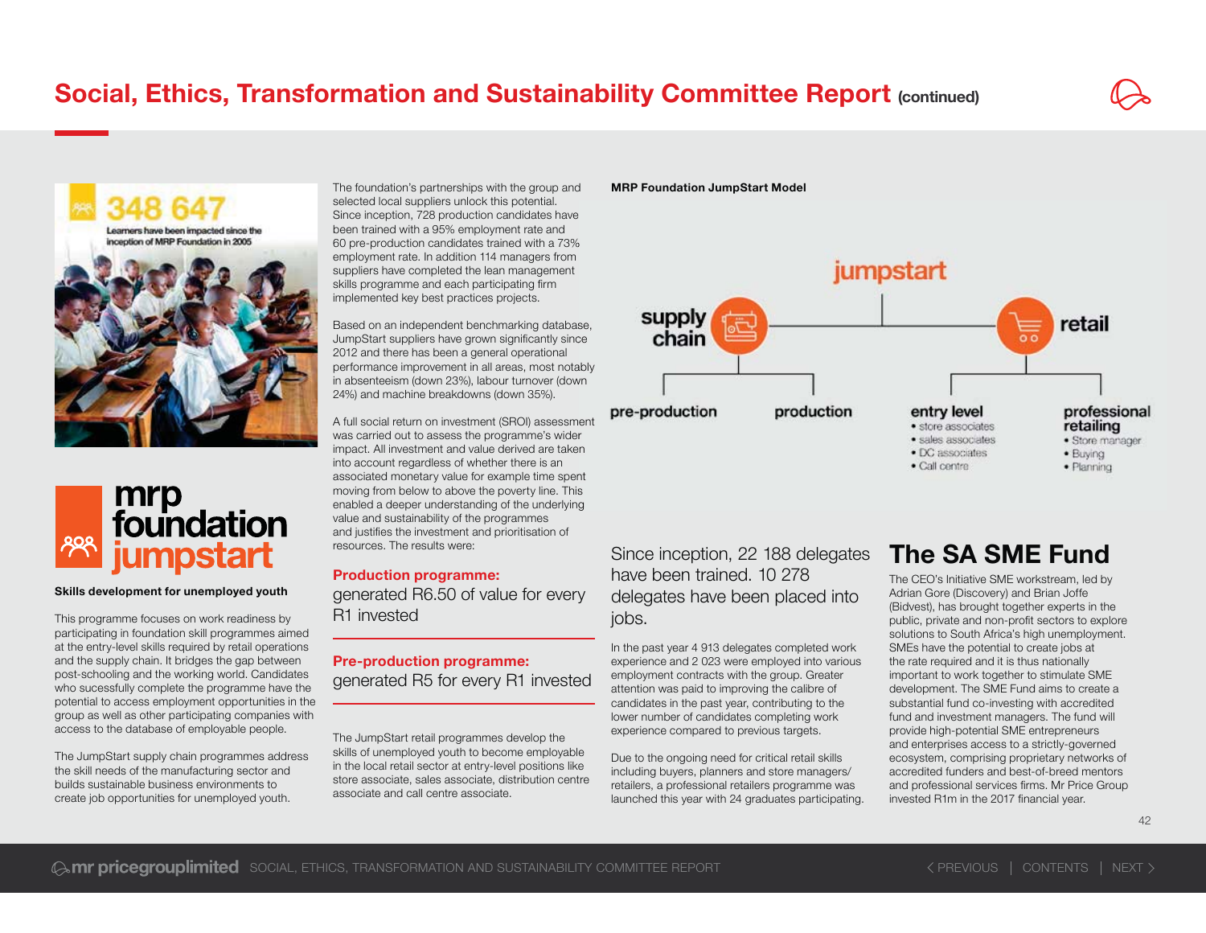



#### Skills development for unemployed youth

This programme focuses on work readiness by participating in foundation skill programmes aimed at the entry-level skills required by retail operations and the supply chain. It bridges the gap between post-schooling and the working world. Candidates who sucessfully complete the programme have the potential to access employment opportunities in the group as well as other participating companies with access to the database of employable people.

The JumpStart supply chain programmes address the skill needs of the manufacturing sector and builds sustainable business environments to create job opportunities for unemployed youth.

The foundation's partnerships with the group and selected local suppliers unlock this potential. Since inception, 728 production candidates have been trained with a 95% employment rate and 60 pre-production candidates trained with a 73% %employment rate. In addition 114 managers from suppliers have completed the lean management skills programme and each participating firm implemented key best practices projects.

Based on an independent benchmarking database, JumpStart suppliers have grown significantly since 2012 and there has been a general operational performance improvement in all areas, most notably in absenteeism (down 23%), labour turnover (down 24%) and machine breakdowns (down 35%). in absenteeism (down 23%), labour turnover (down<br>24%) and machine breakdowns (down 35%).<br>A full social return on investment (SROI) assessment

was carried out to assess the programme's wider impact. All investment and value derived are taken into account regardless of whether there is an associated monetary value for example time spent moving from below to above the poverty line. This enabled a deeper understanding of the underlying g value and sustainability of the programmes and justifies the investment and prioritisation of resources. The results were:r<br>n<br>nt<br>s

Production programme: generated R6.50 of value for every R1 invested

### Pre-production programme: generated R5 for every R1 invested

The JumpStart retail programmes develop the skills of unemployed youth to become employable in the local retail sector at entry-level positions like store associate, sales associate, distribution centre associate and call centre associate.

#### MRP Foundation JumpStart Model



Since inception, 22 188 delegates have been trained. 10 278 delegates have been placed into jobs.

In the past year 4 913 delegates completed work experience and 2 023 were employed into various employment contracts with the group. Greater attention was paid to improving the calibre of candidates in the past year, contributing to the lower number of candidates completing work experience compared to previous targets.

Due to the ongoing need for critical retail skills including buyers, planners and store managers/ retailers, a professional retailers programme was launched this year with 24 graduates participating.

### The SA SME Fund

The CEO's Initiative SME workstream, led by Adrian Gore (Discovery) and Brian Joffe (Bidvest), has brought together experts in the public, private and non-profit sectors to explore solutions to South Africa's high unemployment. SMEs have the potential to create jobs at the rate required and it is thus nationally important to work together to stimulate SME development. The SME Fund aims to create a substantial fund co-investing with accredited fund and investment managers. The fund will provide high-potential SME entrepreneurs and enterprises access to a strictly-governed ecosystem, comprising proprietary networks of accredited funders and best-of-breed mentors and professional services firms. Mr Price Group invested R1m in the 2017 financial vear.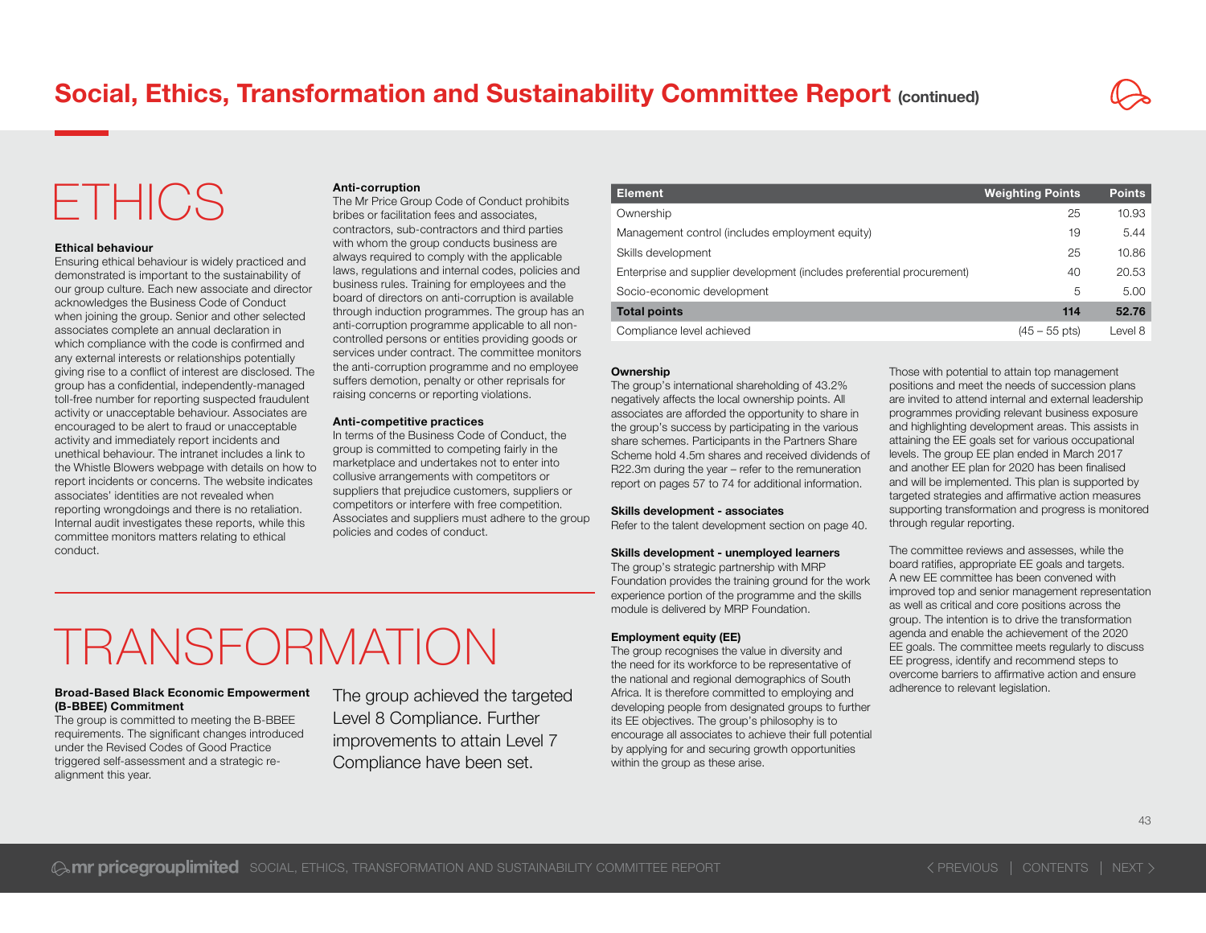## ETHICS

#### Ethical behaviour

Ensuring ethical behaviour is widely practiced and demonstrated is important to the sustainability of our group culture. Each new associate and director acknowledges the Business Code of Conduct when joining the group. Senior and other selected associates complete an annual declaration in which compliance with the code is confirmed and any external interests or relationships potentially giving rise to a conflict of interest are disclosed. The group has a confidential, independently-managed toll-free number for reporting suspected fraudulent activity or unacceptable behaviour. Associates are encouraged to be alert to fraud or unacceptable activity and immediately report incidents and unethical behaviour. The intranet includes a link to the Whistle Blowers webpage with details on how to report incidents or concerns. The website indicates associates' identities are not revealed when reporting wrongdoings and there is no retaliation. Internal audit investigates these reports, while this committee monitors matters relating to ethical conduct.

#### Anti-corruption

The Mr Price Group Code of Conduct prohibits bribes or facilitation fees and associates, contractors, sub-contractors and third parties with whom the group conducts business are always required to comply with the applicable laws, regulations and internal codes, policies and business rules. Training for employees and the board of directors on anti-corruption is available through induction programmes. The group has an anti-corruption programme applicable to all noncontrolled persons or entities providing goods or services under contract. The committee monitors the anti-corruption programme and no employee suffers demotion, penalty or other reprisals for raising concerns or reporting violations.

#### Anti-competitive practices

In terms of the Business Code of Conduct, the group is committed to competing fairly in the marketplace and undertakes not to enter into collusive arrangements with competitors or suppliers that prejudice customers, suppliers or competitors or interfere with free competition. Associates and suppliers must adhere to the group policies and codes of conduct.

| <b>Element</b>                                                          | <b>Weighting Points</b> | <b>Points</b> |
|-------------------------------------------------------------------------|-------------------------|---------------|
| Ownership                                                               | 25                      | 10.93         |
| Management control (includes employment equity)                         | 19                      | 5.44          |
| Skills development                                                      | 25                      | 10.86         |
| Enterprise and supplier development (includes preferential procurement) | 40                      | 20.53         |
| Socio-economic development                                              | 5                       | 5.00          |
| <b>Total points</b>                                                     | 114                     | 52.76         |
| Compliance level achieved                                               | $(45 - 55 \text{ pts})$ | Level 8       |

#### **Ownership**

The group's international shareholding of 43.2% negatively affects the local ownership points. All associates are afforded the opportunity to share in the group's success by participating in the various share schemes. Participants in the Partners Share Scheme hold 4.5m shares and received dividends of R22.3m during the year – refer to the remuneration report on pages 57 to 74 for additional information.

#### Skills development - associates

Refer to the talent development section on page 40.

#### Skills development - unemployed learners

The group's strategic partnership with MRP Foundation provides the training ground for the work experience portion of the programme and the skills module is delivered by MRP Foundation.

#### **Employment equity (EE)**

The group recognises the value in diversity and the need for its workforce to be representative of the national and regional demographics of South Africa. It is therefore committed to employing and developing people from designated groups to further its EE objectives. The group's philosophy is to encourage all associates to achieve their full potential by applying for and securing growth opportunities within the group as these arise. The group achieved the targeted address and registral addressed to employing and adherence to relevant legislation.

Those with potential to attain top management positions and meet the needs of succession plans are invited to attend internal and external leadership programmes providing relevant business exposure and highlighting development areas. This assists in attaining the EE goals set for various occupational levels. The group EE plan ended in March 2017 and another EE plan for 2020 has been finalised and will be implemented. This plan is supported by targeted strategies and affirmative action measures supporting transformation and progress is monitored through regular reporting.

The committee reviews and assesses, while the board ratifies, appropriate EE goals and targets. A new EE committee has been convened with improved top and senior management representation as well as critical and core positions across the group. The intention is to drive the transformation agenda and enable the achievement of the 2020 EE goals. The committee meets regularly to discuss EE progress, identify and recommend steps to overcome barriers to affirmative action and ensure

## TRANSFORMATION

#### Broad-Based Black Economic Empowerment (B-BBEE) Commitment

The group is committed to meeting the B-BBEE requirements. The significant changes introduced under the Revised Codes of Good Practice triggered self-assessment and a strategic realignment this year.

Level 8 Compliance. Further improvements to attain Level 7 Compliance have been set.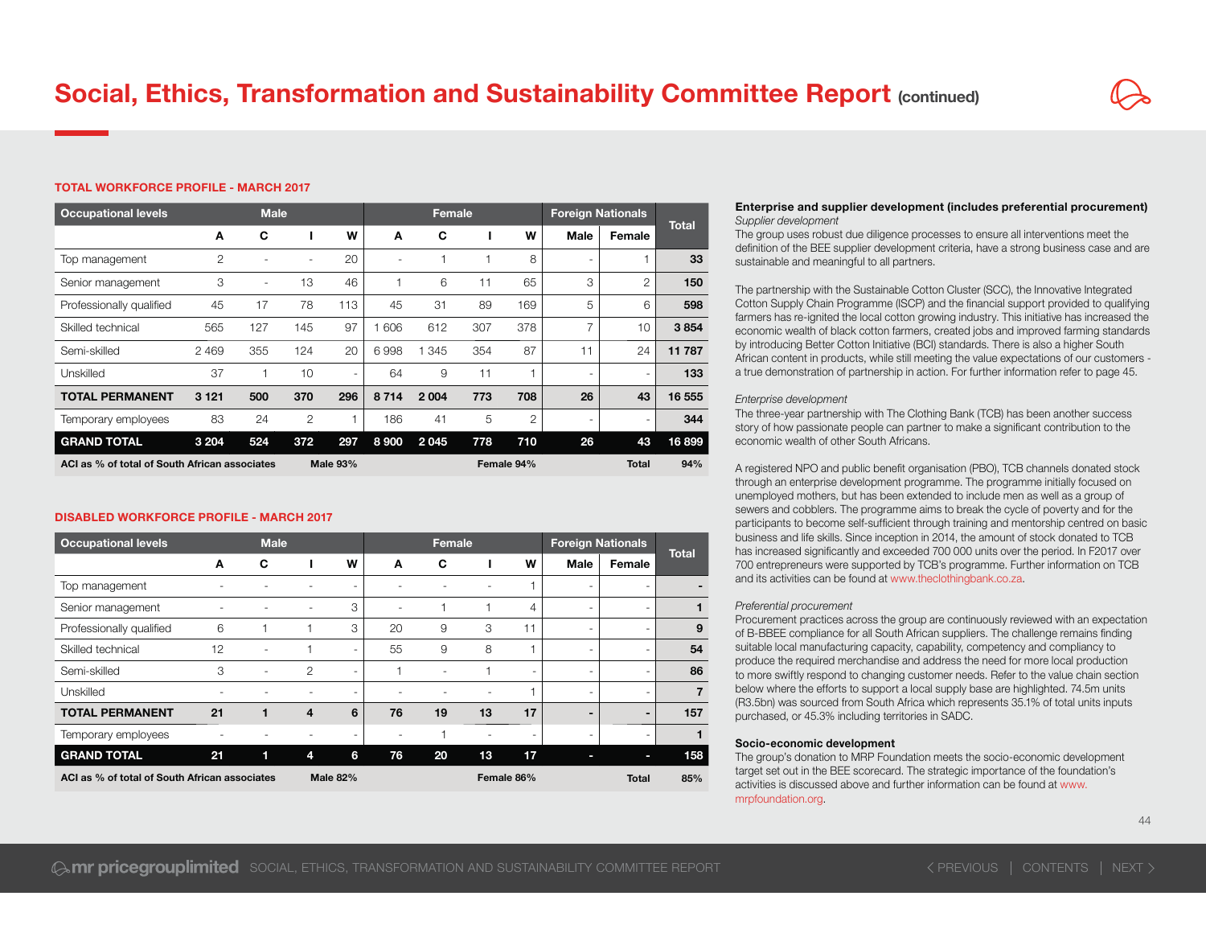#### TOTAL WORKFORCE PROFILE - MARCH 2017

| <b>Occupational levels</b>                                       |         | <b>Male</b>              |     |                          |         |       | Female     |     | <b>Foreign Nationals</b> |                          |              |
|------------------------------------------------------------------|---------|--------------------------|-----|--------------------------|---------|-------|------------|-----|--------------------------|--------------------------|--------------|
|                                                                  | A       | C                        |     | W                        | A       | C     | ш          | W   | Male                     | Female                   | <b>Total</b> |
| Top management                                                   | 2       | $\overline{a}$           |     | 20                       |         |       |            | 8   | $\overline{\phantom{a}}$ | 1                        | 33           |
| Senior management                                                | 3       | $\overline{\phantom{a}}$ | 13  | 46                       |         | 6     | 11         | 65  | 3                        | 2                        | 150          |
| Professionally qualified                                         | 45      | 17                       | 78  | 113                      | 45      | 31    | 89         | 169 | 5                        | 6                        | 598          |
| Skilled technical                                                | 565     | 127                      | 145 | 97                       | 606     | 612   | 307        | 378 | 7                        | 10                       | 3854         |
| Semi-skilled                                                     | 2469    | 355                      | 124 | 20                       | 6998    | 1 345 | 354        | 87  | 11                       | 24                       | 11 787       |
| Unskilled                                                        | 37      |                          | 10  | $\overline{\phantom{0}}$ | 64      | 9     | 11         |     |                          | $\overline{\phantom{0}}$ | 133          |
| <b>TOTAL PERMANENT</b>                                           | 3 1 2 1 | 500                      | 370 | 296                      | 8714    | 2004  | 773        | 708 | 26                       | 43                       | 16 555       |
| Temporary employees                                              | 83      | 24                       | 2   | 1                        | 186     | 41    | 5          | 2   |                          | $\overline{\phantom{a}}$ | 344          |
| <b>GRAND TOTAL</b>                                               | 3 2 0 4 | 524                      | 372 | 297                      | 8 9 0 0 | 2045  | 778        | 710 | 26                       | 43                       | 16899        |
| ACI as % of total of South African associates<br><b>Male 93%</b> |         |                          |     |                          |         |       | Female 94% |     | <b>Total</b>             | 94%                      |              |

#### DISABLED WORKFORCE PROFILE - MARCH 2017

| <b>Occupational levels</b>                                       |    | <b>Male</b>              |                |                          |    | Female |            |                |                          | <b>Foreign Nationals</b> |                |
|------------------------------------------------------------------|----|--------------------------|----------------|--------------------------|----|--------|------------|----------------|--------------------------|--------------------------|----------------|
|                                                                  | A  | C                        |                | W                        | A  | C      |            | W              | <b>Male</b>              | Female                   | <b>Total</b>   |
| Top management                                                   |    |                          |                |                          |    |        |            |                | -                        | $\overline{\phantom{a}}$ |                |
| Senior management                                                |    |                          |                | 3                        |    |        |            | 4              | -                        | $\overline{\phantom{a}}$ |                |
| Professionally qualified                                         | 6  |                          |                | 3                        | 20 | 9      | 3          | 11             | $\overline{\phantom{a}}$ | $\overline{\phantom{a}}$ | 9              |
| Skilled technical                                                | 12 | $\overline{\phantom{0}}$ |                | $\overline{\phantom{a}}$ | 55 | 9      | 8          |                | $\overline{\phantom{a}}$ | $\overline{\phantom{a}}$ | 54             |
| Semi-skilled                                                     | 3  | $\overline{\phantom{a}}$ | 2              | $\overline{\phantom{0}}$ |    |        |            | $\overline{a}$ | $\overline{\phantom{0}}$ | $\overline{\phantom{a}}$ | 86             |
| <b>Unskilled</b>                                                 |    |                          |                |                          |    |        |            |                |                          | $\overline{\phantom{a}}$ | $\overline{7}$ |
| <b>TOTAL PERMANENT</b>                                           | 21 |                          | $\overline{4}$ | 6                        | 76 | 19     | 13         | 17             | $\overline{\phantom{0}}$ | ٠                        | 157            |
| Temporary employees                                              |    |                          |                | $\overline{\phantom{0}}$ |    |        |            | $\overline{a}$ | Ξ.                       | $\sim$                   | 1              |
| <b>GRAND TOTAL</b>                                               | 21 | 1                        | 4              | 6                        | 76 | 20     | 13         | 17             | е                        | ı                        | 158            |
| <b>Male 82%</b><br>ACI as % of total of South African associates |    |                          |                |                          |    |        | Female 86% |                | Total                    | 85%                      |                |

#### Enterprise and supplier development (includes preferential procurement) *Supplier development*

The group uses robust due diligence processes to ensure all interventions meet the definition of the BEE supplier development criteria, have a strong business case and are sustainable and meaningful to all partners.

The partnership with the Sustainable Cotton Cluster (SCC), the Innovative Integrated Cotton Supply Chain Programme (ISCP) and the financial support provided to qualifying farmers has re-ignited the local cotton growing industry. This initiative has increased the economic wealth of black cotton farmers, created jobs and improved farming standards by introducing Better Cotton Initiative (BCI) standards. There is also a higher South African content in products, while still meeting the value expectations of our customers a true demonstration of partnership in action. For further information refer to page 45.

#### *Enterprise development*

The three-year partnership with The Clothing Bank (TCB) has been another success story of how passionate people can partner to make a significant contribution to the economic wealth of other South Africans.

A registered NPO and public benefit organisation (PBO), TCB channels donated stock through an enterprise development programme. The programme initially focused on unemployed mothers, but has been extended to include men as well as a group of sewers and cobblers. The programme aims to break the cycle of poverty and for the participants to become self-sufficient through training and mentorship centred on basic business and life skills. Since inception in 2014, the amount of stock donated to TCB has increased significantly and exceeded 700 000 units over the period. In F2017 over 700 entrepreneurs were supported by TCB's programme. Further information on TCB and its activities can be found at www.theclothingbank.co.za.

#### *Preferential procurement*

Procurement practices across the group are continuously reviewed with an expectation of B-BBEE compliance for all South African suppliers. The challenge remains finding suitable local manufacturing capacity, capability, competency and compliancy to produce the required merchandise and address the need for more local production to more swiftly respond to changing customer needs. Refer to the value chain section below where the efforts to support a local supply base are highlighted. 74.5m units (R3.5bn) was sourced from South Africa which represents 35.1% of total units inputs purchased, or 45.3% including territories in SADC.

#### Socio-economic development

The group's donation to MRP Foundation meets the socio-economic development target set out in the BEE scorecard. The strategic importance of the foundation's activities is discussed above and further information can be found at www.mrpfoundation.org.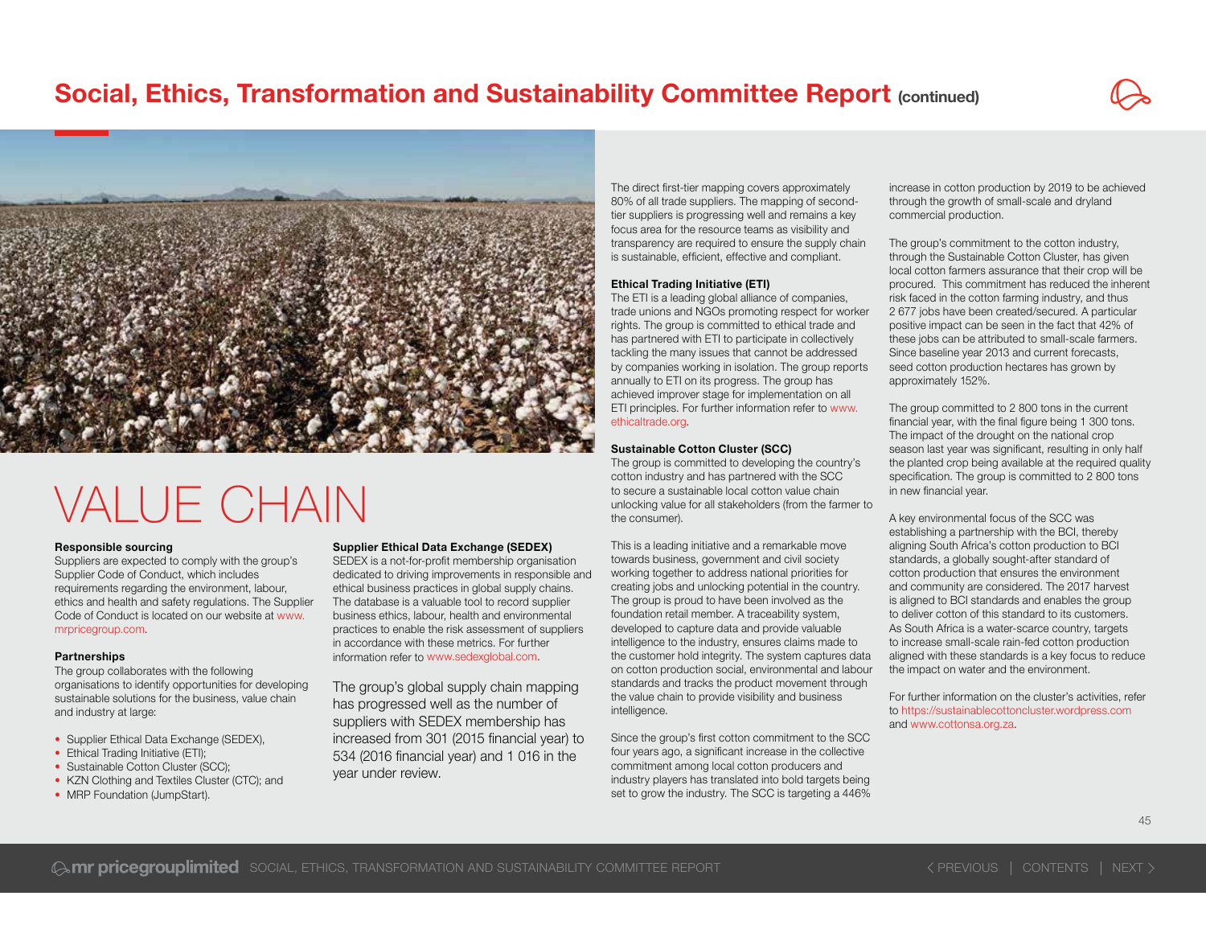



## VALUE CHAIN

#### Responsible sourcing

Suppliers are expected to comply with the group's Supplier Code of Conduct, which includes requirements regarding the environment, labour, ethics and health and safety regulations. The Supplier Code of Conduct is located on our website at www.mrpricegroup.com.

#### **Partnerships**

The group collaborates with the following organisations to identify opportunities for developing sustainable solutions for the business, value chain and industry at large:

- Supplier Ethical Data Exchange (SEDEX),
- Ethical Trading Initiative (ETI);
- Sustainable Cotton Cluster (SCC):
- KZN Clothing and Textiles Cluster (CTC); and
- MRP Foundation (JumpStart).

#### Supplier Ethical Data Exchange (SEDEX)

SEDEX is a not-for-profit membership organisation dedicated to driving improvements in responsible and ethical business practices in global supply chains. The database is a valuable tool to record supplier business ethics, labour, health and environmental practices to enable the risk assessment of suppliers in accordance with these metrics. For further information refer to www.sedexglobal.com.

The group's global supply chain mapping has progressed well as the number of suppliers with SEDEX membership has increased from 301 (2015 financial year) to  $534$  (2016 financial year) and 1 016 in the year under review.

The direct first-tier mapping covers approximately 80% of all trade suppliers. The mapping of secondtier suppliers is progressing well and remains a key focus area for the resource teams as visibility and transparency are required to ensure the supply chain is sustainable, efficient, effective and compliant.

#### Ethical Trading Initiative (ETI)

The ETI is a leading global alliance of companies, trade unions and NGOs promoting respect for worker rights. The group is committed to ethical trade and has partnered with ETI to participate in collectively tackling the many issues that cannot be addressed by companies working in isolation. The group reports annually to ETI on its progress. The group has achieved improver stage for implementation on all ETI principles. For further information refer to www. ethicaltrade.org.

#### Sustainable Cotton Cluster (SCC)

The group is committed to developing the country's cotton industry and has partnered with the SCC to secure a sustainable local cotton value chain unlocking value for all stakeholders (from the farmer to the consumer).

This is a leading initiative and a remarkable move towards business, government and civil society working together to address national priorities for creating jobs and unlocking potential in the country. The group is proud to have been involved as the foundation retail member. A traceability system, developed to capture data and provide valuable intelligence to the industry, ensures claims made to the customer hold integrity. The system captures data on cotton production social, environmental and labour standards and tracks the product movement through the value chain to provide visibility and business intelligence.

Since the group's first cotton commitment to the SCC four years ago, a significant increase in the collective commitment among local cotton producers and industry players has translated into bold targets being set to grow the industry. The SCC is targeting a 446% increase in cotton production by 2019 to be achieved through the growth of small-scale and dryland commercial production.

The group's commitment to the cotton industry. through the Sustainable Cotton Cluster, has given local cotton farmers assurance that their crop will be procured. This commitment has reduced the inherent risk faced in the cotton farming industry, and thus 2 677 jobs have been created/secured. A particular positive impact can be seen in the fact that 42% of these jobs can be attributed to small-scale farmers. Since baseline year 2013 and current forecasts, seed cotton production hectares has grown by approximately 152%.

The group committed to 2 800 tons in the current financial year, with the final figure being 1 300 tons. The impact of the drought on the national crop season last year was significant, resulting in only half the planted crop being available at the required quality specification. The group is committed to 2 800 tons in new financial vear.

A key environmental focus of the SCC was establishing a partnership with the BCI, thereby aligning South Africa's cotton production to BCI standards, a globally sought-after standard of cotton production that ensures the environment and community are considered. The 2017 harvest is aligned to BCI standards and enables the group to deliver cotton of this standard to its customers. As South Africa is a water-scarce country, targets to increase small-scale rain-fed cotton production aligned with these standards is a key focus to reduce the impact on water and the environment.

For further information on the cluster's activities, refer to https://sustainablecottoncluster.wordpress.com and www.cottonsa.org.za.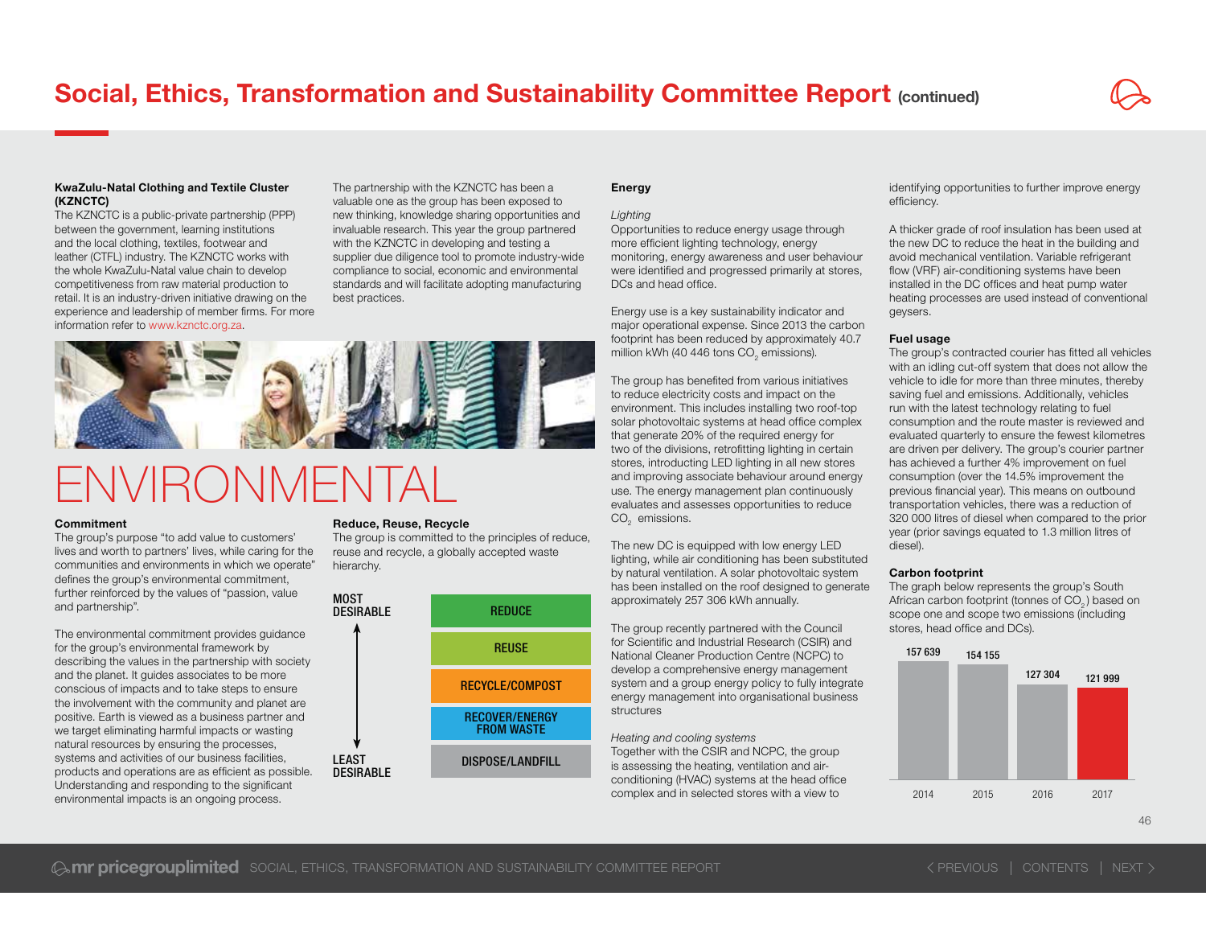#### KwaZulu-Natal Clothing and Textile Cluster (KZNCTC)

The KZNCTC is a public-private partnership (PPP) between the government, learning institutions and the local clothing, textiles, footwear and leather (CTFL) industry. The KZNCTC works with the whole KwaZulu-Natal value chain to develop competitiveness from raw material production to retail. It is an industry-driven initiative drawing on the experience and leadership of member firms. For more information refer to www.kznctc.org.za.

The partnership with the KZNCTC has been a valuable one as the group has been exposed to new thinking, knowledge sharing opportunities and invaluable research. This year the group partnered with the KZNCTC in developing and testing a supplier due diligence tool to promote industry-wide compliance to social, economic and environmental standards and will facilitate adopting manufacturing best practices.

## **FNVIRONMENTAL**

#### Commitment

The group's purpose "to add value to customers' lives and worth to partners' lives, while caring for the communities and environments in which we operate" defines the group's environmental commitment. further reinforced by the values of "passion, value and partnership".

The environmental commitment provides guidance for the group's environmental framework by describing the values in the partnership with society and the planet. It guides associates to be more conscious of impacts and to take steps to ensure the involvement with the community and planet are positive. Earth is viewed as a business partner and we target eliminating harmful impacts or wasting natural resources by ensuring the processes, products and operations are as efficient as possible. Understanding and responding to the significant environmental impacts is an ongoing process.

#### Reduce, Reuse, Recycle

MOST

The group is committed to the principles of reduce. reuse and recycle, a globally accepted waste hierarchy.



#### Energy

#### *Lighting*

Opportunities to reduce energy usage through more efficient lighting technology, energy monitoring, energy awareness and user behaviour were identified and progressed primarily at stores. DCs and head office.

Energy use is a key sustainability indicator and major operational expense. Since 2013 the carbon footprint has been reduced by approximately 40.7 million kWh (40 446 tons CO<sub>2</sub> emissions).

The group has benefited from various initiatives to reduce electricity costs and impact on the environment. This includes installing two roof-top solar photovoltaic systems at head office complex that generate 20% of the required energy for two of the divisions, retrofitting lighting in certain stores, introducting LED lighting in all new stores and improving associate behaviour around energy use. The energy management plan continuously evaluates and assesses opportunities to reduce CO<sub>2</sub> emissions.

The new DC is equipped with low energy LED lighting, while air conditioning has been substituted by natural ventilation. A solar photovoltaic system has been installed on the roof designed to generate approximately 257 306 kWh annually.

The group recently partnered with the Council for Scientific and Industrial Research (CSIR) and National Cleaner Production Centre (NCPC) to develop a comprehensive energy management system and a group energy policy to fully integrate energy management into organisational business structures

*Heating and cooling systems* Together with the CSIR and NCPC, the group is assessing the heating, ventilation and airconditioning (HVAC) systems at the head office complex and in selected stores with a view to

identifying opportunities to further improve energy efficiency.

A thicker grade of roof insulation has been used at the new DC to reduce the heat in the building and avoid mechanical ventilation. Variable refrigerant flow (VRF) air-conditioning systems have been installed in the DC offices and heat pump water heating processes are used instead of conventional geysers.

#### Fuel usage

The group's contracted courier has fitted all vehicles with an idling cut-off system that does not allow the vehicle to idle for more than three minutes, thereby saving fuel and emissions. Additionally, vehicles run with the latest technology relating to fuel consumption and the route master is reviewed and evaluated quarterly to ensure the fewest kilometres are driven per delivery. The group's courier partner has achieved a further 4% improvement on fuel consumption (over the 14.5% improvement the previous financial year). This means on outbound transportation vehicles, there was a reduction of 320 000 litres of diesel when compared to the prior year (prior savings equated to 1.3 million litres of diesel).

#### Carbon footprint

The graph below represents the group's South African carbon footprint (tonnes of CO<sub>2</sub>) based on scope one and scope two emissions (including stores, head office and DCs).